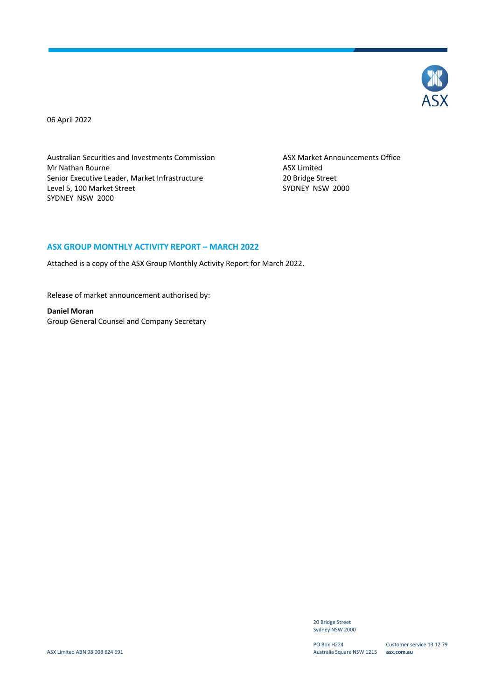

06 April 2022

Australian Securities and Investments Commission ASX Market Announcements Office Mr Nathan Bourne<br>
Senior Executive Leader, Market Infrastructure<br>
20 Bridge Street Senior Executive Leader, Market Infrastructure 20 Bridge Street<br>
20 Bridge Street<br>
2000 SYDNEY NSW Level 5, 100 Market Street SYDNEY NSW 2000

#### **ASX GROUP MONTHLY ACTIVITY REPORT – MARCH 2022**

Attached is a copy of the ASX Group Monthly Activity Report for March 2022.

Release of market announcement authorised by:

**Daniel Moran** Group General Counsel and Company Secretary

> 20 Bridge Street Sydney NSW 2000

PO Box H224 Australia Square NSW 1215 **asx.com.au**

Customer service 13 12 79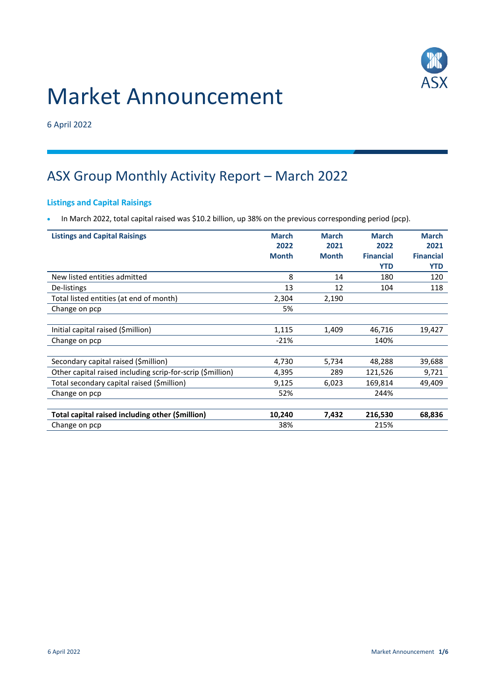

# Market Announcement

6 April 2022

# ASX Group Monthly Activity Report – March 2022

### **Listings and Capital Raisings**

• In March 2022, total capital raised was \$10.2 billion, up 38% on the previous corresponding period (pcp).

| <b>Listings and Capital Raisings</b>                       | <b>March</b> | <b>March</b> | <b>March</b>     | <b>March</b>     |
|------------------------------------------------------------|--------------|--------------|------------------|------------------|
|                                                            | 2022         | 2021         | 2022             | 2021             |
|                                                            | <b>Month</b> | <b>Month</b> | <b>Financial</b> | <b>Financial</b> |
|                                                            |              |              | <b>YTD</b>       | <b>YTD</b>       |
| New listed entities admitted                               | 8            | 14           | 180              | 120              |
| De-listings                                                | 13           | 12           | 104              | 118              |
| Total listed entities (at end of month)                    | 2,304        | 2,190        |                  |                  |
| Change on pcp                                              | 5%           |              |                  |                  |
|                                                            |              |              |                  |                  |
| Initial capital raised (\$million)                         | 1,115        | 1,409        | 46,716           | 19,427           |
| Change on pcp                                              | $-21%$       |              | 140%             |                  |
|                                                            |              |              |                  |                  |
| Secondary capital raised (\$million)                       | 4,730        | 5,734        | 48,288           | 39,688           |
| Other capital raised including scrip-for-scrip (\$million) | 4,395        | 289          | 121,526          | 9,721            |
| Total secondary capital raised (\$million)                 | 9,125        | 6,023        | 169,814          | 49,409           |
| Change on pcp                                              | 52%          |              | 244%             |                  |
|                                                            |              |              |                  |                  |
| Total capital raised including other (\$million)           | 10,240       | 7,432        | 216,530          | 68,836           |
| Change on pcp                                              | 38%          |              | 215%             |                  |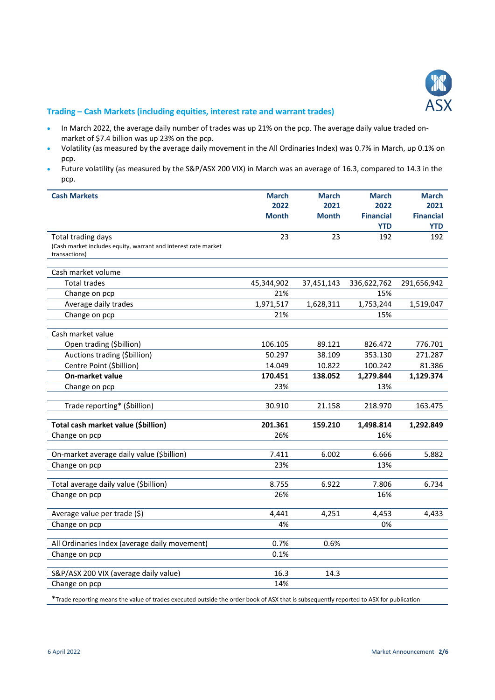

#### **Trading – Cash Markets (including equities, interest rate and warrant trades)**

- In March 2022, the average daily number of trades was up 21% on the pcp. The average daily value traded onmarket of \$7.4 billion was up 23% on the pcp.
- Volatility (as measured by the average daily movement in the All Ordinaries Index) was 0.7% in March, up 0.1% on pcp.
- Future volatility (as measured by the S&P/ASX 200 VIX) in March was an average of 16.3, compared to 14.3 in the pcp.

| <b>Cash Markets</b>                                            | <b>March</b> | <b>March</b> | <b>March</b>     | <b>March</b>     |
|----------------------------------------------------------------|--------------|--------------|------------------|------------------|
|                                                                | 2022         | 2021         | 2022             | 2021             |
|                                                                | <b>Month</b> | <b>Month</b> | <b>Financial</b> | <b>Financial</b> |
|                                                                |              |              | <b>YTD</b>       | <b>YTD</b>       |
| Total trading days                                             | 23           | 23           | 192              | 192              |
| (Cash market includes equity, warrant and interest rate market |              |              |                  |                  |
| transactions)                                                  |              |              |                  |                  |
| Cash market volume                                             |              |              |                  |                  |
| <b>Total trades</b>                                            | 45,344,902   | 37,451,143   | 336,622,762      | 291,656,942      |
| Change on pcp                                                  | 21%          |              | 15%              |                  |
| Average daily trades                                           | 1,971,517    | 1,628,311    | 1,753,244        | 1,519,047        |
| Change on pcp                                                  | 21%          |              | 15%              |                  |
|                                                                |              |              |                  |                  |
| Cash market value                                              |              |              |                  |                  |
| Open trading (\$billion)                                       | 106.105      | 89.121       | 826.472          | 776.701          |
| Auctions trading (\$billion)                                   | 50.297       | 38.109       | 353.130          | 271.287          |
| Centre Point (\$billion)                                       | 14.049       | 10.822       | 100.242          | 81.386           |
| <b>On-market value</b>                                         | 170.451      | 138.052      | 1,279.844        | 1,129.374        |
| Change on pcp                                                  | 23%          |              | 13%              |                  |
| Trade reporting* (\$billion)                                   | 30.910       | 21.158       | 218.970          | 163.475          |
|                                                                |              |              |                  |                  |
| Total cash market value (\$billion)                            | 201.361      | 159.210      | 1,498.814        | 1,292.849        |
| Change on pcp                                                  | 26%          |              | 16%              |                  |
| On-market average daily value (\$billion)                      | 7.411        | 6.002        | 6.666            | 5.882            |
| Change on pcp                                                  | 23%          |              | 13%              |                  |
|                                                                |              |              |                  |                  |
| Total average daily value (\$billion)                          | 8.755        | 6.922        | 7.806            | 6.734            |
| Change on pcp                                                  | 26%          |              | 16%              |                  |
|                                                                |              |              |                  |                  |
| Average value per trade (\$)                                   | 4,441        | 4,251        | 4,453            | 4,433            |
| Change on pcp                                                  | 4%           |              | 0%               |                  |
| All Ordinaries Index (average daily movement)                  | 0.7%         | 0.6%         |                  |                  |
| Change on pcp                                                  | 0.1%         |              |                  |                  |
|                                                                |              |              |                  |                  |
| S&P/ASX 200 VIX (average daily value)                          | 16.3         | 14.3         |                  |                  |
| Change on pcp                                                  | 14%          |              |                  |                  |
|                                                                |              |              |                  |                  |

\*Trade reporting means the value of trades executed outside the order book of ASX that is subsequently reported to ASX for publication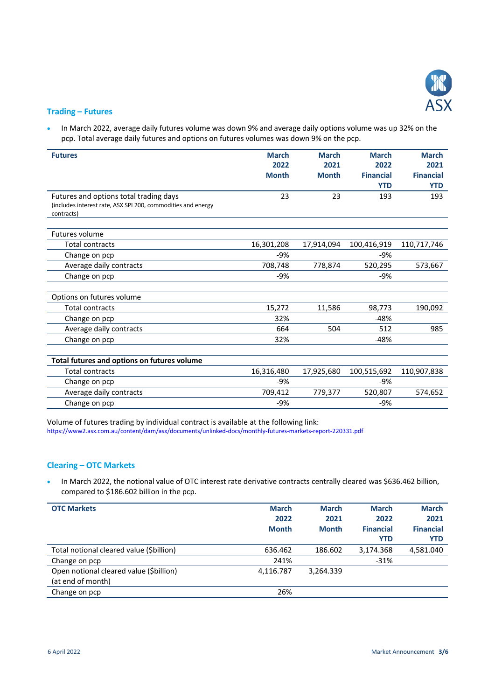

#### **Trading – Futures**

• In March 2022, average daily futures volume was down 9% and average daily options volume was up 32% on the pcp. Total average daily futures and options on futures volumes was down 9% on the pcp.

| <b>Futures</b>                                                             | <b>March</b> | <b>March</b> | <b>March</b>     | <b>March</b>     |
|----------------------------------------------------------------------------|--------------|--------------|------------------|------------------|
|                                                                            | 2022         | 2021         | 2022             | 2021             |
|                                                                            | <b>Month</b> | <b>Month</b> | <b>Financial</b> | <b>Financial</b> |
|                                                                            |              |              |                  |                  |
|                                                                            |              |              | <b>YTD</b>       | <b>YTD</b>       |
| Futures and options total trading days                                     | 23           | 23           | 193              | 193              |
| (includes interest rate, ASX SPI 200, commodities and energy<br>contracts) |              |              |                  |                  |
|                                                                            |              |              |                  |                  |
| <b>Futures volume</b>                                                      |              |              |                  |                  |
| <b>Total contracts</b>                                                     | 16,301,208   | 17,914,094   | 100,416,919      | 110,717,746      |
| Change on pcp                                                              | $-9%$        |              | $-9%$            |                  |
| Average daily contracts                                                    | 708,748      | 778,874      | 520,295          | 573,667          |
| Change on pcp                                                              | $-9%$        |              | $-9%$            |                  |
|                                                                            |              |              |                  |                  |
| Options on futures volume                                                  |              |              |                  |                  |
| <b>Total contracts</b>                                                     | 15,272       | 11,586       | 98,773           | 190,092          |
| Change on pcp                                                              | 32%          |              | $-48%$           |                  |
| Average daily contracts                                                    | 664          | 504          | 512              | 985              |
| Change on pcp                                                              | 32%          |              | $-48%$           |                  |
|                                                                            |              |              |                  |                  |
| Total futures and options on futures volume                                |              |              |                  |                  |
| <b>Total contracts</b>                                                     | 16,316,480   | 17,925,680   | 100,515,692      | 110,907,838      |
| Change on pcp                                                              | $-9%$        |              | -9%              |                  |
| Average daily contracts                                                    | 709,412      | 779,377      | 520,807          | 574,652          |
| Change on pcp                                                              | $-9%$        |              | $-9%$            |                  |

Volume of futures trading by individual contract is available at the following link: <https://www2.asx.com.au/content/dam/asx/documents/unlinked-docs/monthly-futures-markets-report-220331.pdf>

#### **Clearing – OTC Markets**

. In March 2022, the notional value of OTC interest rate derivative contracts centrally cleared was \$636.462 billion, compared to \$186.602 billion in the pcp.

| <b>OTC Markets</b>                       | <b>March</b><br>2022<br><b>Month</b> | <b>March</b><br>2021<br><b>Month</b> | <b>March</b><br>2022<br><b>Financial</b><br><b>YTD</b> | <b>March</b><br>2021<br><b>Financial</b><br><b>YTD</b> |
|------------------------------------------|--------------------------------------|--------------------------------------|--------------------------------------------------------|--------------------------------------------------------|
| Total notional cleared value (\$billion) | 636.462                              | 186.602                              | 3,174.368                                              | 4,581.040                                              |
| Change on pcp                            | 241%                                 |                                      | $-31%$                                                 |                                                        |
| Open notional cleared value (\$billion)  | 4,116.787                            | 3,264.339                            |                                                        |                                                        |
| (at end of month)                        |                                      |                                      |                                                        |                                                        |
| Change on pcp                            | 26%                                  |                                      |                                                        |                                                        |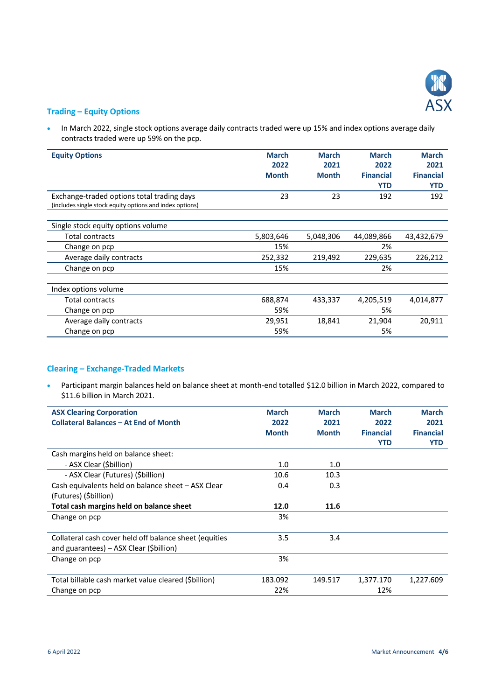

#### **Trading – Equity Options**

• In March 2022, single stock options average daily contracts traded were up 15% and index options average daily contracts traded were up 59% on the pcp.

| <b>Equity Options</b>                                    | <b>March</b> | <b>March</b> | <b>March</b>     | <b>March</b>     |
|----------------------------------------------------------|--------------|--------------|------------------|------------------|
|                                                          | 2022         | 2021         | 2022             | 2021             |
|                                                          | <b>Month</b> | <b>Month</b> | <b>Financial</b> | <b>Financial</b> |
|                                                          |              |              | <b>YTD</b>       | <b>YTD</b>       |
| Exchange-traded options total trading days               | 23           | 23           | 192              | 192              |
| (includes single stock equity options and index options) |              |              |                  |                  |
|                                                          |              |              |                  |                  |
| Single stock equity options volume                       |              |              |                  |                  |
| Total contracts                                          | 5,803,646    | 5,048,306    | 44,089,866       | 43,432,679       |
| Change on pcp                                            | 15%          |              | 2%               |                  |
| Average daily contracts                                  | 252,332      | 219,492      | 229,635          | 226,212          |
| Change on pcp                                            | 15%          |              | 2%               |                  |
|                                                          |              |              |                  |                  |
| Index options volume                                     |              |              |                  |                  |
| <b>Total contracts</b>                                   | 688,874      | 433,337      | 4,205,519        | 4,014,877        |
| Change on pcp                                            | 59%          |              | 5%               |                  |
| Average daily contracts                                  | 29,951       | 18,841       | 21,904           | 20,911           |
| Change on pcp                                            | 59%          |              | 5%               |                  |

# **Clearing – Exchange-Traded Markets**

 Participant margin balances held on balance sheet at month-end totalled \$12.0 billion in March 2022, compared to \$11.6 billion in March 2021.

| <b>ASX Clearing Corporation</b>                        | <b>March</b> | <b>March</b> | <b>March</b>     | <b>March</b>     |
|--------------------------------------------------------|--------------|--------------|------------------|------------------|
| <b>Collateral Balances - At End of Month</b>           | 2022         | 2021         | 2022             | 2021             |
|                                                        | <b>Month</b> | <b>Month</b> | <b>Financial</b> | <b>Financial</b> |
|                                                        |              |              | <b>YTD</b>       | <b>YTD</b>       |
| Cash margins held on balance sheet:                    |              |              |                  |                  |
| - ASX Clear (\$billion)                                | 1.0          | 1.0          |                  |                  |
| - ASX Clear (Futures) (\$billion)                      | 10.6         | 10.3         |                  |                  |
| Cash equivalents held on balance sheet - ASX Clear     | 0.4          | 0.3          |                  |                  |
| (Futures) (Sbillion)                                   |              |              |                  |                  |
| Total cash margins held on balance sheet               | 12.0         | 11.6         |                  |                  |
| Change on pcp                                          | 3%           |              |                  |                  |
|                                                        |              |              |                  |                  |
| Collateral cash cover held off balance sheet (equities | 3.5          | 3.4          |                  |                  |
| and guarantees) - ASX Clear (\$billion)                |              |              |                  |                  |
| Change on pcp                                          | 3%           |              |                  |                  |
|                                                        |              |              |                  |                  |
| Total billable cash market value cleared (Sbillion)    | 183.092      | 149.517      | 1,377.170        | 1,227.609        |
| Change on pcp                                          | 22%          |              | 12%              |                  |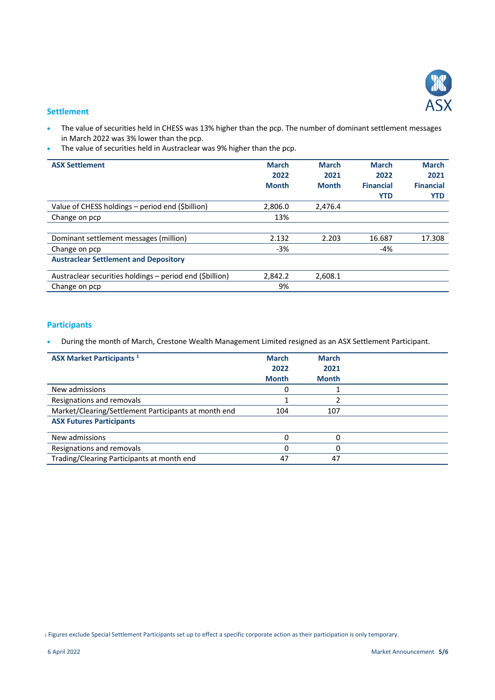

#### **Settlement**

- The value of securities held in CHESS was 13% higher than the pcp. The number of dominant settlement messages in March 2022 was 3% lower than the pcp.
- The value of securities held in Austraclear was 9% higher than the pcp.

| <b>ASX Settlement</b>                                    | <b>March</b> | <b>March</b> | <b>March</b>     | <b>March</b>     |
|----------------------------------------------------------|--------------|--------------|------------------|------------------|
|                                                          | 2022         | 2021         | 2022             | 2021             |
|                                                          | <b>Month</b> | <b>Month</b> | <b>Financial</b> | <b>Financial</b> |
|                                                          |              |              | <b>YTD</b>       | <b>YTD</b>       |
| Value of CHESS holdings - period end (\$billion)         | 2,806.0      | 2,476.4      |                  |                  |
| Change on pcp                                            | 13%          |              |                  |                  |
|                                                          |              |              |                  |                  |
| Dominant settlement messages (million)                   | 2.132        | 2.203        | 16.687           | 17.308           |
| Change on pcp                                            | $-3%$        |              | $-4%$            |                  |
| <b>Austraclear Settlement and Depository</b>             |              |              |                  |                  |
| Austraclear securities holdings – period end (\$billion) | 2,842.2      | 2,608.1      |                  |                  |
| Change on pcp                                            | 9%           |              |                  |                  |

# **Participants**

During the month of March, Crestone Wealth Management Limited resigned as an ASX Settlement Participant.

| <b>ASX Market Participants</b> <sup>1</sup>          | <b>March</b><br>2022 | <b>March</b><br>2021 |  |
|------------------------------------------------------|----------------------|----------------------|--|
|                                                      | <b>Month</b>         | <b>Month</b>         |  |
| New admissions                                       | 0                    |                      |  |
| Resignations and removals                            |                      |                      |  |
| Market/Clearing/Settlement Participants at month end | 104                  | 107                  |  |
| <b>ASX Futures Participants</b>                      |                      |                      |  |
| New admissions                                       | 0                    | 0                    |  |
| Resignations and removals                            |                      | 0                    |  |
| Trading/Clearing Participants at month end           | 47                   | 47                   |  |

<sup>1</sup> Figures exclude Special Settlement Participants set up to effect a specific corporate action as their participation is only temporary.